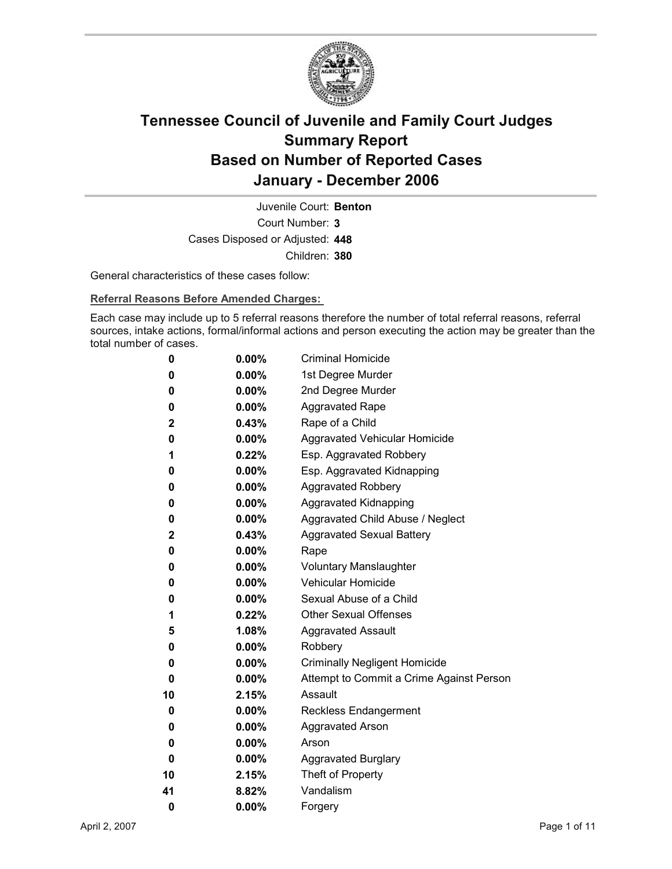

Court Number: **3** Juvenile Court: **Benton** Cases Disposed or Adjusted: **448** Children: **380**

General characteristics of these cases follow:

**Referral Reasons Before Amended Charges:** 

Each case may include up to 5 referral reasons therefore the number of total referral reasons, referral sources, intake actions, formal/informal actions and person executing the action may be greater than the total number of cases.

| 0           | $0.00\%$ | <b>Criminal Homicide</b>                 |
|-------------|----------|------------------------------------------|
| 0           | $0.00\%$ | 1st Degree Murder                        |
| 0           | $0.00\%$ | 2nd Degree Murder                        |
| 0           | $0.00\%$ | <b>Aggravated Rape</b>                   |
| $\mathbf 2$ | 0.43%    | Rape of a Child                          |
| 0           | $0.00\%$ | Aggravated Vehicular Homicide            |
| 1           | $0.22\%$ | Esp. Aggravated Robbery                  |
| 0           | $0.00\%$ | Esp. Aggravated Kidnapping               |
| 0           | $0.00\%$ | <b>Aggravated Robbery</b>                |
| 0           | $0.00\%$ | <b>Aggravated Kidnapping</b>             |
| 0           | $0.00\%$ | Aggravated Child Abuse / Neglect         |
| $\mathbf 2$ | $0.43\%$ | <b>Aggravated Sexual Battery</b>         |
| 0           | $0.00\%$ | Rape                                     |
| 0           | $0.00\%$ | <b>Voluntary Manslaughter</b>            |
| 0           | $0.00\%$ | <b>Vehicular Homicide</b>                |
| 0           | $0.00\%$ | Sexual Abuse of a Child                  |
| 1           | $0.22\%$ | <b>Other Sexual Offenses</b>             |
| 5           | $1.08\%$ | <b>Aggravated Assault</b>                |
| 0           | $0.00\%$ | Robbery                                  |
| 0           | $0.00\%$ | <b>Criminally Negligent Homicide</b>     |
| 0           | $0.00\%$ | Attempt to Commit a Crime Against Person |
| 10          | 2.15%    | Assault                                  |
| 0           | $0.00\%$ | <b>Reckless Endangerment</b>             |
| 0           | $0.00\%$ | <b>Aggravated Arson</b>                  |
| 0           | $0.00\%$ | Arson                                    |
| 0           | $0.00\%$ | <b>Aggravated Burglary</b>               |
| 10          | 2.15%    | Theft of Property                        |
| 41          | 8.82%    | Vandalism                                |
| 0           | 0.00%    | Forgery                                  |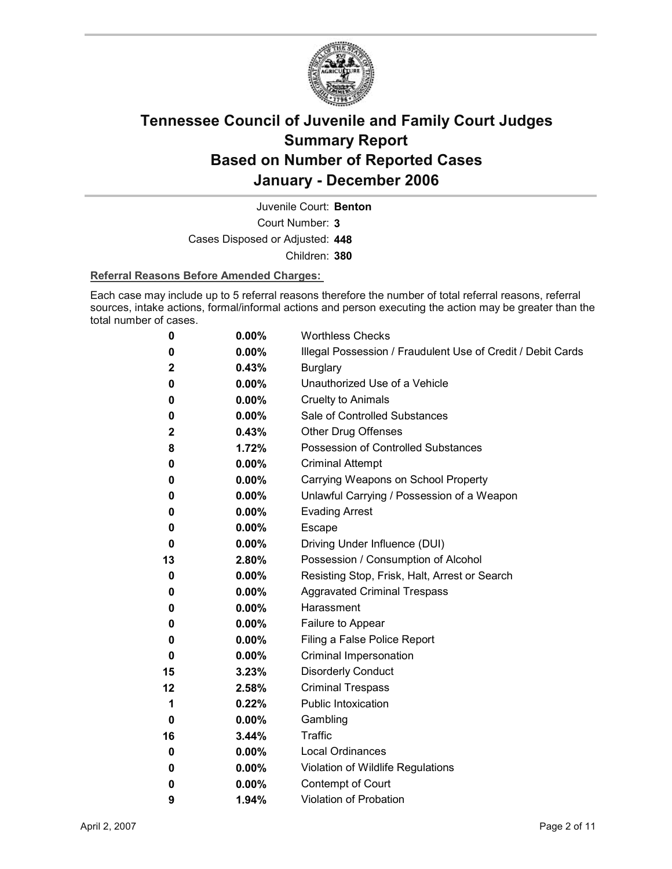

Juvenile Court: **Benton**

Court Number: **3**

Cases Disposed or Adjusted: **448**

Children: **380**

#### **Referral Reasons Before Amended Charges:**

Each case may include up to 5 referral reasons therefore the number of total referral reasons, referral sources, intake actions, formal/informal actions and person executing the action may be greater than the total number of cases.

| 0  | 0.00%    | <b>Worthless Checks</b>                                     |
|----|----------|-------------------------------------------------------------|
| 0  | $0.00\%$ | Illegal Possession / Fraudulent Use of Credit / Debit Cards |
| 2  | 0.43%    | <b>Burglary</b>                                             |
| 0  | $0.00\%$ | Unauthorized Use of a Vehicle                               |
| 0  | 0.00%    | <b>Cruelty to Animals</b>                                   |
| 0  | $0.00\%$ | Sale of Controlled Substances                               |
| 2  | 0.43%    | <b>Other Drug Offenses</b>                                  |
| 8  | 1.72%    | Possession of Controlled Substances                         |
| 0  | $0.00\%$ | <b>Criminal Attempt</b>                                     |
| 0  | $0.00\%$ | Carrying Weapons on School Property                         |
| 0  | $0.00\%$ | Unlawful Carrying / Possession of a Weapon                  |
| 0  | 0.00%    | <b>Evading Arrest</b>                                       |
| 0  | $0.00\%$ | Escape                                                      |
| 0  | $0.00\%$ | Driving Under Influence (DUI)                               |
| 13 | 2.80%    | Possession / Consumption of Alcohol                         |
| 0  | $0.00\%$ | Resisting Stop, Frisk, Halt, Arrest or Search               |
| 0  | 0.00%    | <b>Aggravated Criminal Trespass</b>                         |
| 0  | $0.00\%$ | Harassment                                                  |
| 0  | $0.00\%$ | Failure to Appear                                           |
| 0  | $0.00\%$ | Filing a False Police Report                                |
| 0  | $0.00\%$ | Criminal Impersonation                                      |
| 15 | 3.23%    | <b>Disorderly Conduct</b>                                   |
| 12 | 2.58%    | <b>Criminal Trespass</b>                                    |
| 1  | 0.22%    | <b>Public Intoxication</b>                                  |
| 0  | $0.00\%$ | Gambling                                                    |
| 16 | 3.44%    | Traffic                                                     |
| 0  | $0.00\%$ | <b>Local Ordinances</b>                                     |
| 0  | $0.00\%$ | Violation of Wildlife Regulations                           |
| 0  | $0.00\%$ | Contempt of Court                                           |
| 9  | 1.94%    | <b>Violation of Probation</b>                               |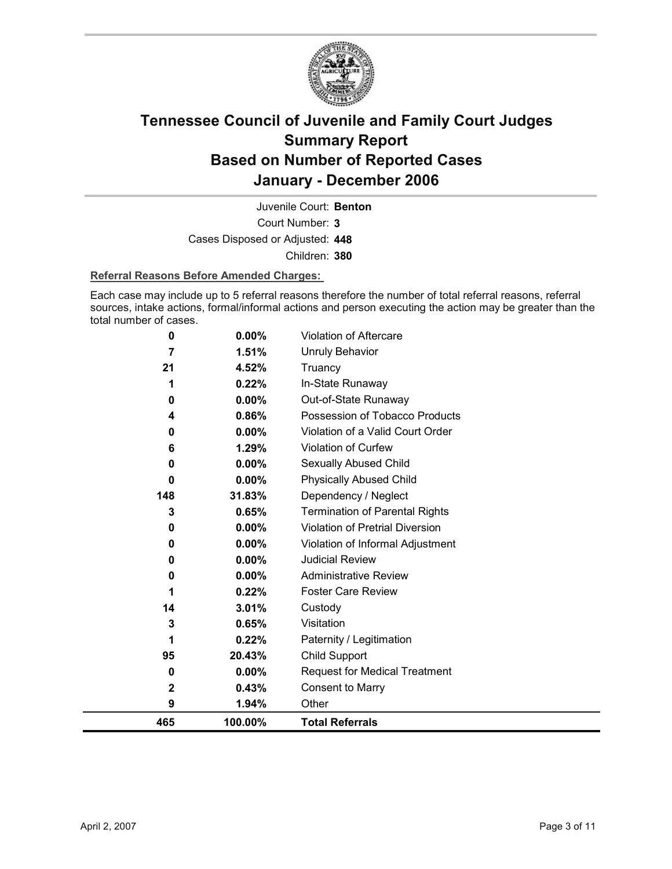

Court Number: **3** Juvenile Court: **Benton** Cases Disposed or Adjusted: **448** Children: **380**

#### **Referral Reasons Before Amended Charges:**

Each case may include up to 5 referral reasons therefore the number of total referral reasons, referral sources, intake actions, formal/informal actions and person executing the action may be greater than the total number of cases.

| 465      | 100.00%  | <b>Total Referrals</b>                |
|----------|----------|---------------------------------------|
| 9        | 1.94%    | Other                                 |
| 2        | 0.43%    | <b>Consent to Marry</b>               |
| 0        | $0.00\%$ | <b>Request for Medical Treatment</b>  |
| 95       | 20.43%   | Child Support                         |
| 1        | 0.22%    | Paternity / Legitimation              |
| 3        | 0.65%    | Visitation                            |
| 14       | 3.01%    | Custody                               |
| 1        | 0.22%    | <b>Foster Care Review</b>             |
| $\bf{0}$ | $0.00\%$ | <b>Administrative Review</b>          |
| 0        | 0.00%    | <b>Judicial Review</b>                |
| $\bf{0}$ | 0.00%    | Violation of Informal Adjustment      |
| 0        | 0.00%    | Violation of Pretrial Diversion       |
| 3        | 0.65%    | <b>Termination of Parental Rights</b> |
| 148      | 31.83%   | Dependency / Neglect                  |
| $\bf{0}$ | 0.00%    | <b>Physically Abused Child</b>        |
| 0        | 0.00%    | Sexually Abused Child                 |
| 6        | 1.29%    | <b>Violation of Curfew</b>            |
| 0        | 0.00%    | Violation of a Valid Court Order      |
| 4        | 0.86%    | Possession of Tobacco Products        |
| 0        | 0.00%    | Out-of-State Runaway                  |
| 1        | 0.22%    | In-State Runaway                      |
| 21       | 4.52%    | Truancy                               |
| 7        | 1.51%    | <b>Unruly Behavior</b>                |
| 0        | 0.00%    | Violation of Aftercare                |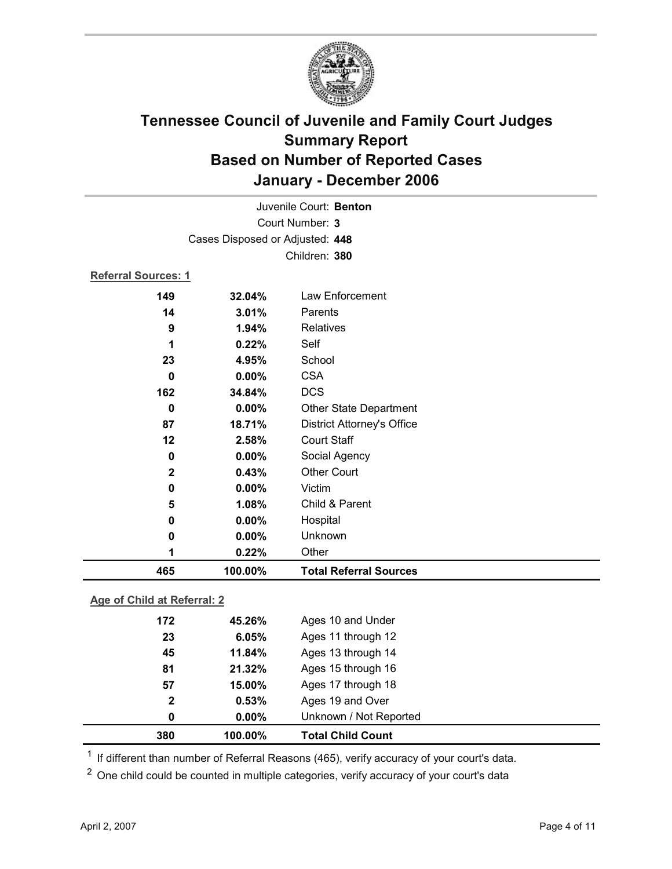

|                            |                                 | Juvenile Court: Benton            |  |
|----------------------------|---------------------------------|-----------------------------------|--|
| Court Number: 3            |                                 |                                   |  |
|                            | Cases Disposed or Adjusted: 448 |                                   |  |
|                            |                                 | Children: 380                     |  |
| <b>Referral Sources: 1</b> |                                 |                                   |  |
| 149                        | 32.04%                          | Law Enforcement                   |  |
| 14                         | 3.01%                           | Parents                           |  |
| 9                          | 1.94%                           | <b>Relatives</b>                  |  |
| 1                          | 0.22%                           | Self                              |  |
| 23                         | 4.95%                           | School                            |  |
| $\mathbf 0$                | 0.00%                           | <b>CSA</b>                        |  |
| 162                        | 34.84%                          | <b>DCS</b>                        |  |
| $\bf{0}$                   | 0.00%                           | <b>Other State Department</b>     |  |
| 87                         | 18.71%                          | <b>District Attorney's Office</b> |  |
| 12                         | 2.58%                           | Court Staff                       |  |
| $\bf{0}$                   | 0.00%                           | Social Agency                     |  |
| $\mathbf{2}$               | 0.43%                           | <b>Other Court</b>                |  |
| 0                          | 0.00%                           | Victim                            |  |
| 5                          | 1.08%                           | Child & Parent                    |  |
| 0                          | 0.00%                           | Hospital                          |  |
| 0                          | $0.00\%$                        | Unknown                           |  |
| 1                          | 0.22%                           | Other                             |  |
| 465                        | 100.00%                         | <b>Total Referral Sources</b>     |  |

### **Age of Child at Referral: 2**

| 380          | 100.00%  | <b>Total Child Count</b> |  |
|--------------|----------|--------------------------|--|
| 0            | $0.00\%$ | Unknown / Not Reported   |  |
| $\mathbf{2}$ | 0.53%    | Ages 19 and Over         |  |
| 57           | 15.00%   | Ages 17 through 18       |  |
| 81           | 21.32%   | Ages 15 through 16       |  |
| 45           | 11.84%   | Ages 13 through 14       |  |
| 23           | 6.05%    | Ages 11 through 12       |  |
| 172          | 45.26%   | Ages 10 and Under        |  |
|              |          |                          |  |

<sup>1</sup> If different than number of Referral Reasons (465), verify accuracy of your court's data.

<sup>2</sup> One child could be counted in multiple categories, verify accuracy of your court's data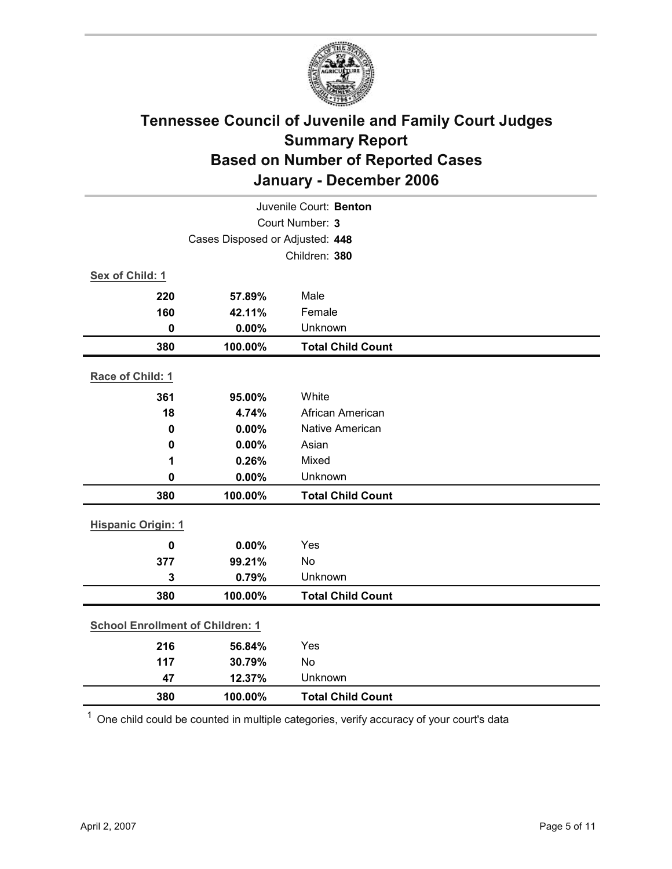

| Juvenile Court: Benton                  |                 |                          |  |
|-----------------------------------------|-----------------|--------------------------|--|
|                                         | Court Number: 3 |                          |  |
| Cases Disposed or Adjusted: 448         |                 |                          |  |
|                                         |                 | Children: 380            |  |
| Sex of Child: 1                         |                 |                          |  |
| 220                                     | 57.89%          | Male                     |  |
| 160                                     | 42.11%          | Female                   |  |
| $\mathbf 0$                             | 0.00%           | Unknown                  |  |
| 380                                     | 100.00%         | <b>Total Child Count</b> |  |
| Race of Child: 1                        |                 |                          |  |
| 361                                     | 95.00%          | White                    |  |
| 18                                      | 4.74%           | African American         |  |
| $\mathbf 0$                             | 0.00%           | <b>Native American</b>   |  |
| $\mathbf 0$                             | 0.00%           | Asian                    |  |
| 1                                       | 0.26%           | Mixed                    |  |
| $\mathbf 0$                             | 0.00%           | Unknown                  |  |
| 380                                     | 100.00%         | <b>Total Child Count</b> |  |
| <b>Hispanic Origin: 1</b>               |                 |                          |  |
| $\mathbf 0$                             | 0.00%           | Yes                      |  |
| 377                                     | 99.21%          | No                       |  |
| 3                                       | 0.79%           | Unknown                  |  |
| 380                                     | 100.00%         | <b>Total Child Count</b> |  |
| <b>School Enrollment of Children: 1</b> |                 |                          |  |
| 216                                     | 56.84%          | Yes                      |  |
| 117                                     | 30.79%          | No                       |  |
| 47                                      | 12.37%          | Unknown                  |  |
| 380                                     | 100.00%         | <b>Total Child Count</b> |  |

 $1$  One child could be counted in multiple categories, verify accuracy of your court's data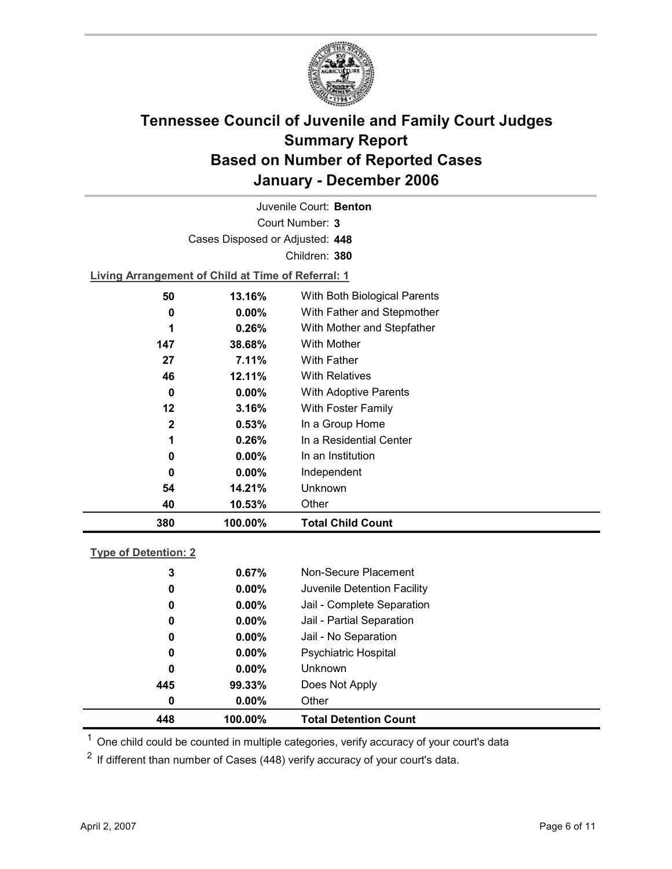

Court Number: **3** Juvenile Court: **Benton** Cases Disposed or Adjusted: **448** Children: **380**

**Living Arrangement of Child at Time of Referral: 1**

| 380          | 100.00%  | <b>Total Child Count</b>     |
|--------------|----------|------------------------------|
| 40           | 10.53%   | Other                        |
| 54           | 14.21%   | Unknown                      |
| 0            | $0.00\%$ | Independent                  |
| 0            | $0.00\%$ | In an Institution            |
| 1            | 0.26%    | In a Residential Center      |
| $\mathbf{2}$ | 0.53%    | In a Group Home              |
| 12           | 3.16%    | With Foster Family           |
| 0            | $0.00\%$ | With Adoptive Parents        |
| 46           | 12.11%   | <b>With Relatives</b>        |
| 27           | 7.11%    | <b>With Father</b>           |
| 147          | 38.68%   | With Mother                  |
| 1            | 0.26%    | With Mother and Stepfather   |
| 0            | $0.00\%$ | With Father and Stepmother   |
| 50           | 13.16%   | With Both Biological Parents |
|              |          |                              |

### **Type of Detention: 2**

| 448 | 100.00%  | <b>Total Detention Count</b> |
|-----|----------|------------------------------|
| 0   | $0.00\%$ | Other                        |
| 445 | 99.33%   | Does Not Apply               |
| 0   | $0.00\%$ | <b>Unknown</b>               |
| 0   | $0.00\%$ | <b>Psychiatric Hospital</b>  |
| 0   | $0.00\%$ | Jail - No Separation         |
| 0   | $0.00\%$ | Jail - Partial Separation    |
| 0   | $0.00\%$ | Jail - Complete Separation   |
| 0   | $0.00\%$ | Juvenile Detention Facility  |
| 3   | 0.67%    | Non-Secure Placement         |
|     |          |                              |

 $<sup>1</sup>$  One child could be counted in multiple categories, verify accuracy of your court's data</sup>

 $2$  If different than number of Cases (448) verify accuracy of your court's data.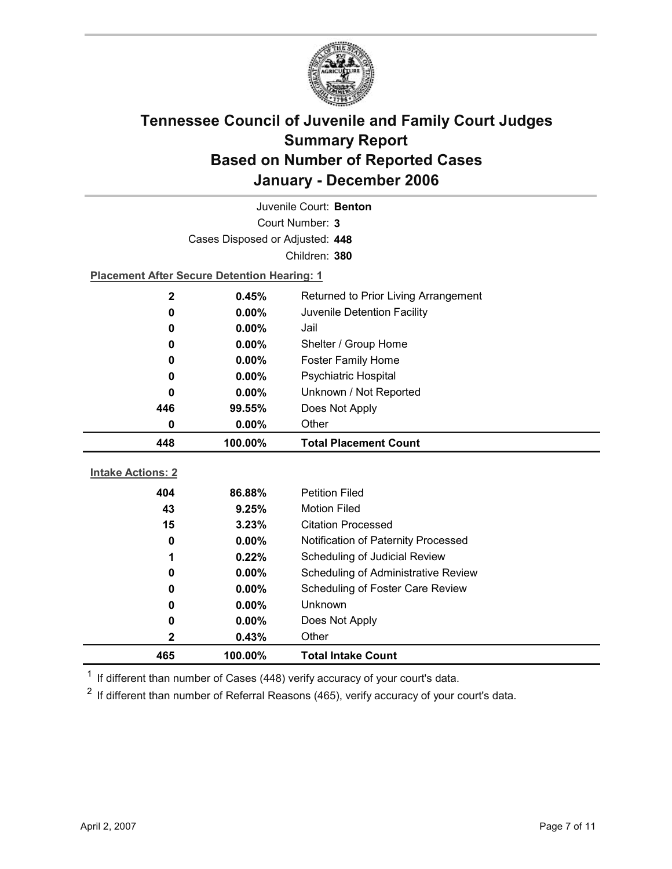

|                                                    | Cases Disposed or Adjusted: 448<br>Children: 380 |                                     |  |  |  |
|----------------------------------------------------|--------------------------------------------------|-------------------------------------|--|--|--|
|                                                    |                                                  |                                     |  |  |  |
| <b>Placement After Secure Detention Hearing: 1</b> |                                                  |                                     |  |  |  |
| $\mathbf 2$                                        | Returned to Prior Living Arrangement<br>0.45%    |                                     |  |  |  |
| 0                                                  | 0.00%                                            | Juvenile Detention Facility         |  |  |  |
| 0                                                  | $0.00\%$                                         | Jail                                |  |  |  |
| 0                                                  | $0.00\%$                                         | Shelter / Group Home                |  |  |  |
| 0                                                  | 0.00%                                            | <b>Foster Family Home</b>           |  |  |  |
| 0                                                  | $0.00\%$                                         | Psychiatric Hospital                |  |  |  |
| 0                                                  | $0.00\%$                                         | Unknown / Not Reported              |  |  |  |
| 446                                                | 99.55%                                           | Does Not Apply                      |  |  |  |
| Other<br>0<br>0.00%                                |                                                  |                                     |  |  |  |
|                                                    |                                                  |                                     |  |  |  |
| 448                                                | 100.00%                                          | <b>Total Placement Count</b>        |  |  |  |
|                                                    |                                                  |                                     |  |  |  |
| <b>Intake Actions: 2</b>                           |                                                  |                                     |  |  |  |
| 404                                                | 86.88%                                           | <b>Petition Filed</b>               |  |  |  |
| 43                                                 | 9.25%                                            | <b>Motion Filed</b>                 |  |  |  |
| 15                                                 | 3.23%                                            | <b>Citation Processed</b>           |  |  |  |
| 0                                                  | $0.00\%$                                         | Notification of Paternity Processed |  |  |  |
| 1                                                  | 0.22%                                            | Scheduling of Judicial Review       |  |  |  |
| 0                                                  | 0.00%                                            | Scheduling of Administrative Review |  |  |  |
| 0                                                  | $0.00\%$                                         | Scheduling of Foster Care Review    |  |  |  |
| 0                                                  | $0.00\%$                                         | Unknown                             |  |  |  |
| 0                                                  | $0.00\%$                                         | Does Not Apply                      |  |  |  |
| $\mathbf 2$                                        | 0.43%                                            | Other                               |  |  |  |

 $1$  If different than number of Cases (448) verify accuracy of your court's data.

 $2$  If different than number of Referral Reasons (465), verify accuracy of your court's data.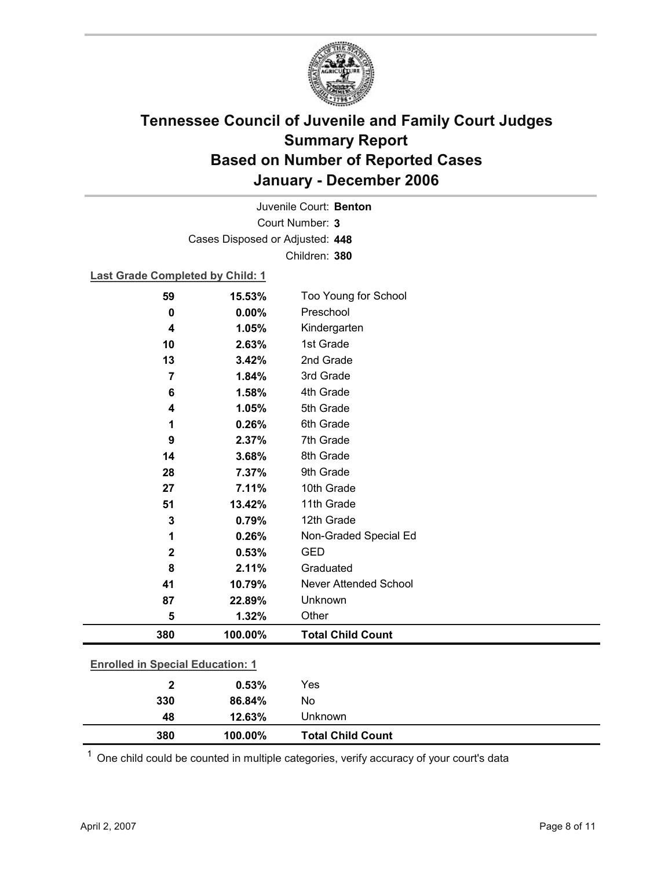

Court Number: **3** Juvenile Court: **Benton** Cases Disposed or Adjusted: **448** Children: **380**

#### **Last Grade Completed by Child: 1**

| 59<br>0                                 | 15.53%<br>0.00% | Too Young for School<br>Preschool |  |
|-----------------------------------------|-----------------|-----------------------------------|--|
| 4                                       | 1.05%           | Kindergarten                      |  |
| 10                                      | 2.63%           | 1st Grade                         |  |
| 13                                      | 3.42%           | 2nd Grade                         |  |
| 7                                       | 1.84%           | 3rd Grade                         |  |
| 6                                       | 1.58%           | 4th Grade                         |  |
| 4                                       | 1.05%           | 5th Grade                         |  |
| 1                                       | 0.26%           | 6th Grade                         |  |
| 9                                       | 2.37%           | 7th Grade                         |  |
| 14                                      | 3.68%           | 8th Grade                         |  |
| 28                                      | 7.37%           | 9th Grade                         |  |
| 27                                      | 7.11%           | 10th Grade                        |  |
| 51                                      | 13.42%          | 11th Grade                        |  |
| 3                                       | 0.79%           | 12th Grade                        |  |
| 1                                       | 0.26%           | Non-Graded Special Ed             |  |
| $\mathbf 2$                             | 0.53%           | <b>GED</b>                        |  |
| 8                                       | 2.11%           | Graduated                         |  |
| 41                                      | 10.79%          | Never Attended School             |  |
| 87                                      | 22.89%          | Unknown                           |  |
| 5                                       | 1.32%           | Other                             |  |
| 380                                     | 100.00%         | <b>Total Child Count</b>          |  |
|                                         |                 |                                   |  |
| <b>Enrolled in Special Education: 1</b> |                 |                                   |  |
| 2                                       | 0.53%           | Yes                               |  |

| 380 | 100.00% | <b>Total Child Count</b> |
|-----|---------|--------------------------|
| 48  | 12.63%  | Unknown                  |
| 330 | 86.84%  | No                       |

 $1$  One child could be counted in multiple categories, verify accuracy of your court's data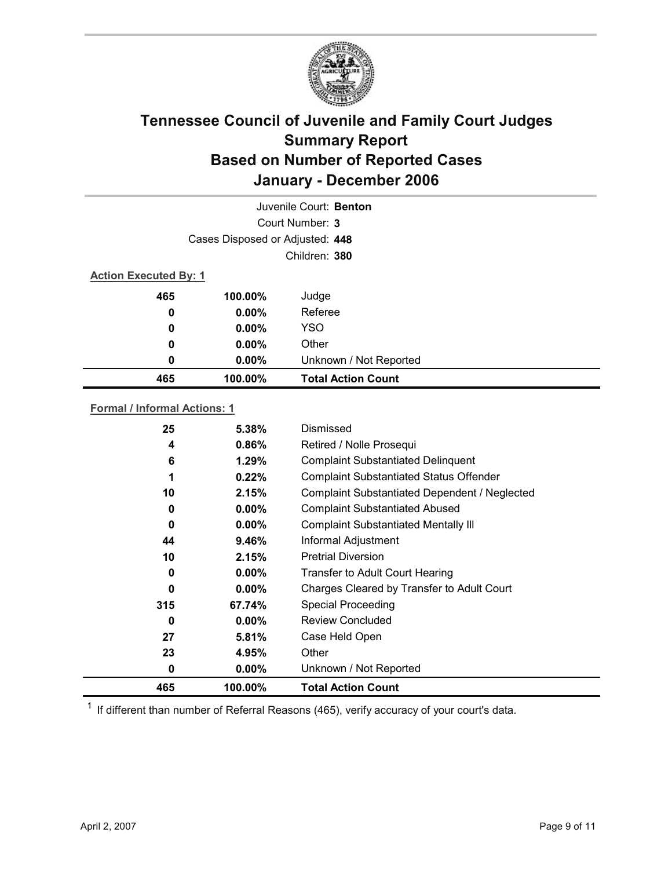

|                              |                                 | Juvenile Court: Benton    |  |
|------------------------------|---------------------------------|---------------------------|--|
|                              |                                 | Court Number: 3           |  |
|                              | Cases Disposed or Adjusted: 448 |                           |  |
|                              |                                 | Children: 380             |  |
| <b>Action Executed By: 1</b> |                                 |                           |  |
| 465                          | 100.00%                         | Judge                     |  |
| 0                            | $0.00\%$                        | Referee                   |  |
| 0                            | $0.00\%$                        | <b>YSO</b>                |  |
| 0                            | $0.00\%$                        | Other                     |  |
| 0                            | $0.00\%$                        | Unknown / Not Reported    |  |
| 465                          | 100.00%                         | <b>Total Action Count</b> |  |

### **Formal / Informal Actions: 1**

| 0   | $0.00\%$ | Unknown / Not Reported                         |
|-----|----------|------------------------------------------------|
|     |          |                                                |
| 23  | 4.95%    | Other                                          |
| 27  | 5.81%    | Case Held Open                                 |
| 0   | $0.00\%$ | <b>Review Concluded</b>                        |
| 315 | 67.74%   | <b>Special Proceeding</b>                      |
| 0   | $0.00\%$ | Charges Cleared by Transfer to Adult Court     |
| 0   | $0.00\%$ | Transfer to Adult Court Hearing                |
| 10  | 2.15%    | <b>Pretrial Diversion</b>                      |
| 44  | 9.46%    | Informal Adjustment                            |
| 0   | $0.00\%$ | <b>Complaint Substantiated Mentally III</b>    |
| 0   | $0.00\%$ | <b>Complaint Substantiated Abused</b>          |
| 10  | 2.15%    | Complaint Substantiated Dependent / Neglected  |
| 1   | 0.22%    | <b>Complaint Substantiated Status Offender</b> |
| 6   | 1.29%    | <b>Complaint Substantiated Delinquent</b>      |
| 4   | 0.86%    | Retired / Nolle Prosequi                       |
| 25  | 5.38%    | Dismissed                                      |
|     |          |                                                |

 $1$  If different than number of Referral Reasons (465), verify accuracy of your court's data.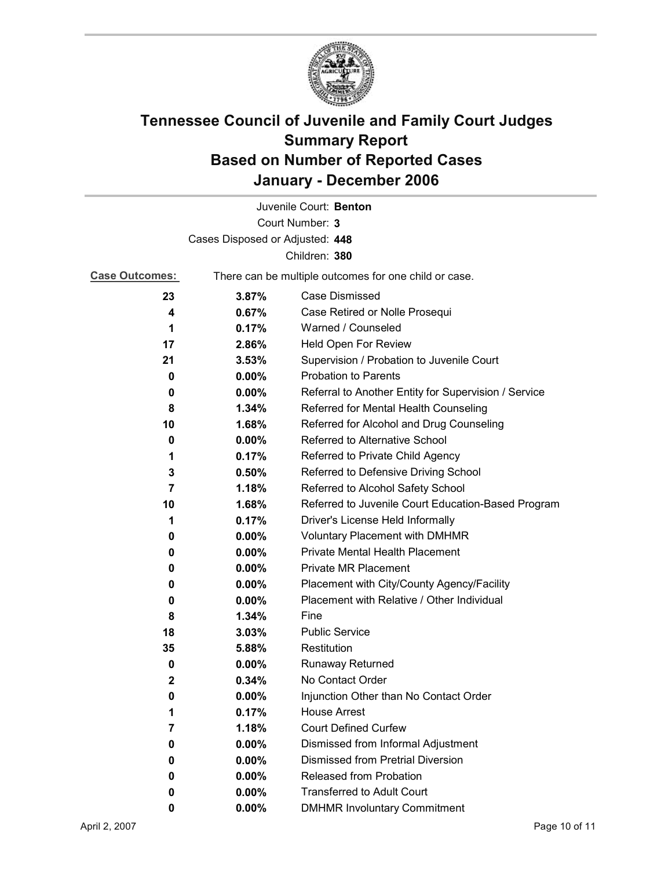

|                                 |          | Juvenile Court: Benton                                |  |  |
|---------------------------------|----------|-------------------------------------------------------|--|--|
|                                 |          | Court Number: 3                                       |  |  |
| Cases Disposed or Adjusted: 448 |          |                                                       |  |  |
|                                 |          | Children: 380                                         |  |  |
| <b>Case Outcomes:</b>           |          | There can be multiple outcomes for one child or case. |  |  |
| 23                              | 3.87%    | Case Dismissed                                        |  |  |
| 4                               | 0.67%    | Case Retired or Nolle Prosequi                        |  |  |
| 1                               | 0.17%    | Warned / Counseled                                    |  |  |
| 17                              | 2.86%    | Held Open For Review                                  |  |  |
| 21                              | 3.53%    | Supervision / Probation to Juvenile Court             |  |  |
| 0                               | 0.00%    | <b>Probation to Parents</b>                           |  |  |
| 0                               | $0.00\%$ | Referral to Another Entity for Supervision / Service  |  |  |
| 8                               | 1.34%    | Referred for Mental Health Counseling                 |  |  |
| 10                              | 1.68%    | Referred for Alcohol and Drug Counseling              |  |  |
| 0                               | $0.00\%$ | Referred to Alternative School                        |  |  |
| 1                               | 0.17%    | Referred to Private Child Agency                      |  |  |
| 3                               | $0.50\%$ | Referred to Defensive Driving School                  |  |  |
| 7                               | 1.18%    | Referred to Alcohol Safety School                     |  |  |
| 10                              | 1.68%    | Referred to Juvenile Court Education-Based Program    |  |  |
| 1                               | 0.17%    | Driver's License Held Informally                      |  |  |
| 0                               | $0.00\%$ | <b>Voluntary Placement with DMHMR</b>                 |  |  |
| 0                               | $0.00\%$ | <b>Private Mental Health Placement</b>                |  |  |
| 0                               | $0.00\%$ | <b>Private MR Placement</b>                           |  |  |
| 0                               | $0.00\%$ | Placement with City/County Agency/Facility            |  |  |
| 0                               | $0.00\%$ | Placement with Relative / Other Individual            |  |  |
| 8                               | 1.34%    | Fine                                                  |  |  |
| 18                              | 3.03%    | <b>Public Service</b>                                 |  |  |
| 35                              | 5.88%    | Restitution                                           |  |  |
| 0                               | $0.00\%$ | <b>Runaway Returned</b>                               |  |  |
| 2                               | 0.34%    | No Contact Order                                      |  |  |
| 0                               | $0.00\%$ | Injunction Other than No Contact Order                |  |  |
| 1                               | 0.17%    | <b>House Arrest</b>                                   |  |  |
| 7                               | 1.18%    | <b>Court Defined Curfew</b>                           |  |  |
| 0                               | 0.00%    | Dismissed from Informal Adjustment                    |  |  |
| 0                               | 0.00%    | <b>Dismissed from Pretrial Diversion</b>              |  |  |
| 0                               | 0.00%    | Released from Probation                               |  |  |
| 0                               | $0.00\%$ | <b>Transferred to Adult Court</b>                     |  |  |
| 0                               | $0.00\%$ | <b>DMHMR Involuntary Commitment</b>                   |  |  |